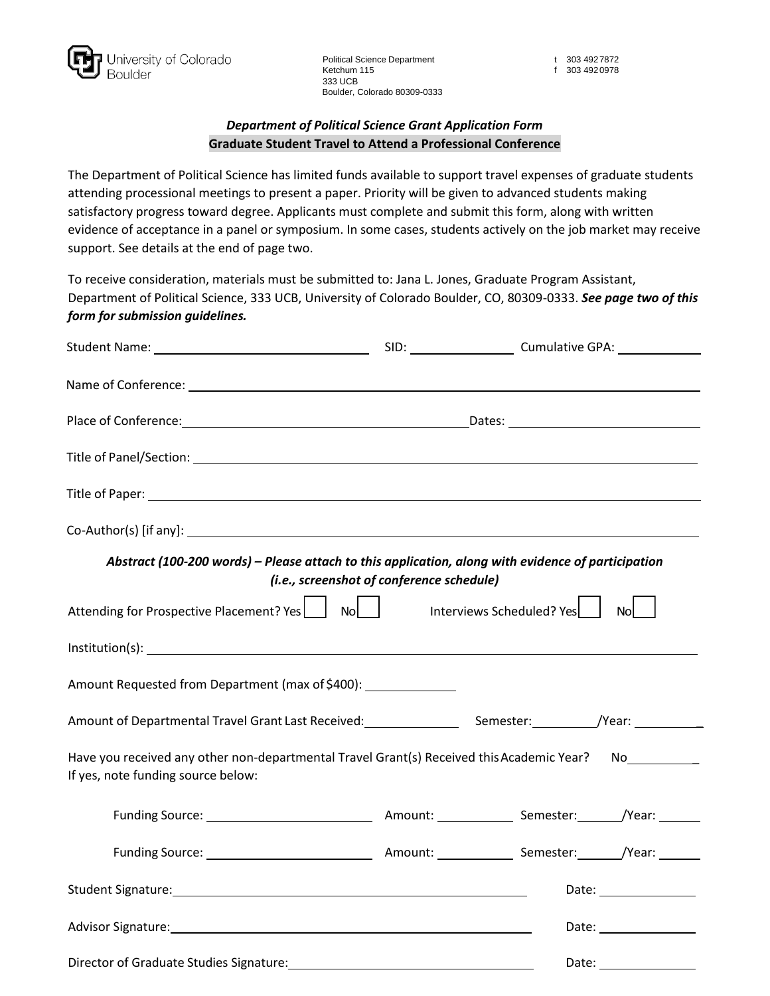

Political Science Department t 303 492 7872 Ketchum 115 f 303 492 0978 333 UCB Boulder, Colorado 80309-0333

# *Department of Political Science Grant Application Form* **Graduate Student Travel to Attend a Professional Conference**

The Department of Political Science has limited funds available to support travel expenses of graduate students attending processional meetings to present a paper. Priority will be given to advanced students making satisfactory progress toward degree. Applicants must complete and submit this form, along with written evidence of acceptance in a panel or symposium. In some cases, students actively on the job market may receive support. See details at the end of page two.

To receive consideration, materials must be submitted to: Jana L. Jones, Graduate Program Assistant, Department of Political Science, 333 UCB, University of Colorado Boulder, CO, 80309-0333. *See page two of this form for submission guidelines.*

| $Co-Author(s)$ [if any]: $\qquad \qquad$                                                                                                        |  |                         |
|-------------------------------------------------------------------------------------------------------------------------------------------------|--|-------------------------|
| Abstract (100-200 words) - Please attach to this application, along with evidence of participation<br>(i.e., screenshot of conference schedule) |  |                         |
| Attending for Prospective Placement? Yes   No No<br>$\overline{N}$ No $\overline{N}$<br>Interviews Scheduled? Yes                               |  |                         |
|                                                                                                                                                 |  |                         |
| Amount Requested from Department (max of \$400): ______________                                                                                 |  |                         |
| Amount of Departmental Travel Grant Last Received: _______________________Semester: ___________/Year: ________                                  |  |                         |
| Have you received any other non-departmental Travel Grant(s) Received this Academic Year? No<br>No<br>If yes, note funding source below:        |  |                         |
|                                                                                                                                                 |  |                         |
|                                                                                                                                                 |  |                         |
|                                                                                                                                                 |  | Date: ________________  |
| Advisor Signature: 1999 and 2009 and 2009 and 2009 and 2009 and 2009 and 2009 and 2009 and 2009 and 2009 and 20                                 |  |                         |
|                                                                                                                                                 |  | Date: _________________ |